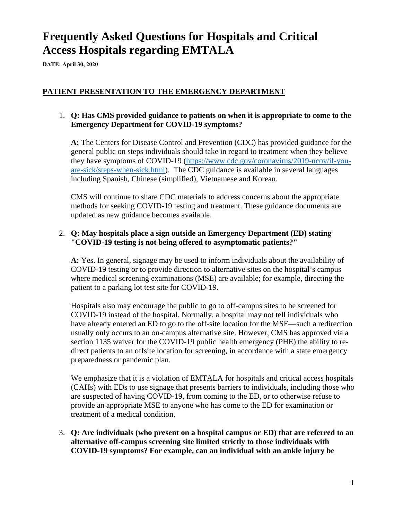# **Frequently Asked Questions for Hospitals and Critical Access Hospitals regarding EMTALA**

**DATE: April 30, 2020**

## **PATIENT PRESENTATION TO THE EMERGENCY DEPARTMENT**

## 1. **Q: Has CMS provided guidance to patients on when it is appropriate to come to the Emergency Department for COVID-19 symptoms?**

**A:** The Centers for Disease Control and Prevention (CDC) has provided guidance for the general public on steps individuals should take in regard to treatment when they believe they have symptoms of COVID-19 [\(https://www.cdc.gov/coronavirus/2019-ncov/if-you](https://www.cdc.gov/coronavirus/2019-ncov/if-you-are-sick/steps-when-sick.html)[are-sick/steps-when-sick.html\)](https://www.cdc.gov/coronavirus/2019-ncov/if-you-are-sick/steps-when-sick.html). The CDC guidance is available in several languages including Spanish, Chinese (simplified), Vietnamese and Korean.

CMS will continue to share CDC materials to address concerns about the appropriate methods for seeking COVID-19 testing and treatment. These guidance documents are updated as new guidance becomes available.

## 2. **Q: May hospitals place a sign outside an Emergency Department (ED) stating "COVID-19 testing is not being offered to asymptomatic patients?"**

**A:** Yes. In general, signage may be used to inform individuals about the availability of COVID-19 testing or to provide direction to alternative sites on the hospital's campus where medical screening examinations (MSE) are available; for example, directing the patient to a parking lot test site for COVID-19.

Hospitals also may encourage the public to go to off-campus sites to be screened for COVID-19 instead of the hospital. Normally, a hospital may not tell individuals who have already entered an ED to go to the off-site location for the MSE—such a redirection usually only occurs to an on-campus alternative site. However, CMS has approved via a section 1135 waiver for the COVID-19 public health emergency (PHE) the ability to redirect patients to an offsite location for screening, in accordance with a state emergency preparedness or pandemic plan.

We emphasize that it is a violation of EMTALA for hospitals and critical access hospitals (CAHs) with EDs to use signage that presents barriers to individuals, including those who are suspected of having COVID-19, from coming to the ED, or to otherwise refuse to provide an appropriate MSE to anyone who has come to the ED for examination or treatment of a medical condition.

3. **Q: Are individuals (who present on a hospital campus or ED) that are referred to an alternative off-campus screening site limited strictly to those individuals with COVID-19 symptoms? For example, can an individual with an ankle injury be**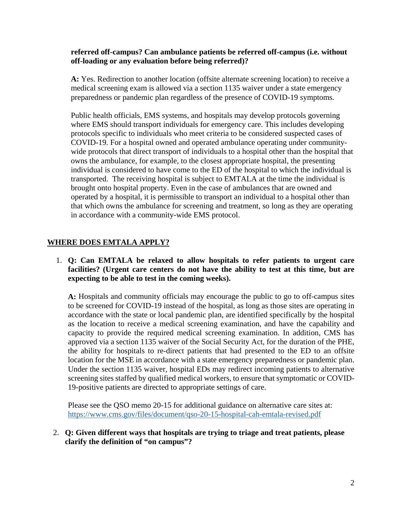#### **referred off-campus? Can ambulance patients be referred off-campus (i.e. without off-loading or any evaluation before being referred)?**

**A:** Yes. Redirection to another location (offsite alternate screening location) to receive a medical screening exam is allowed via a section 1135 waiver under a state emergency preparedness or pandemic plan regardless of the presence of COVID-19 symptoms.

Public health officials, EMS systems, and hospitals may develop protocols governing where EMS should transport individuals for emergency care. This includes developing protocols specific to individuals who meet criteria to be considered suspected cases of COVID-19. For a hospital owned and operated ambulance operating under communitywide protocols that direct transport of individuals to a hospital other than the hospital that owns the ambulance, for example, to the closest appropriate hospital, the presenting individual is considered to have come to the ED of the hospital to which the individual is transported. The receiving hospital is subject to EMTALA at the time the individual is brought onto hospital property. Even in the case of ambulances that are owned and operated by a hospital, it is permissible to transport an individual to a hospital other than that which owns the ambulance for screening and treatment, so long as they are operating in accordance with a community-wide EMS protocol.

## **WHERE DOES EMTALA APPLY?**

## 1. **Q: Can EMTALA be relaxed to allow hospitals to refer patients to urgent care facilities? (Urgent care centers do not have the ability to test at this time, but are expecting to be able to test in the coming weeks).**

**A:** Hospitals and community officials may encourage the public to go to off-campus sites to be screened for COVID-19 instead of the hospital, as long as those sites are operating in accordance with the state or local pandemic plan, are identified specifically by the hospital as the location to receive a medical screening examination, and have the capability and capacity to provide the required medical screening examination. In addition, CMS has approved via a section 1135 waiver of the Social Security Act, for the duration of the PHE, the ability for hospitals to re-direct patients that had presented to the ED to an offsite location for the MSE in accordance with a state emergency preparedness or pandemic plan. Under the section 1135 waiver, hospital EDs may redirect incoming patients to alternative screening sites staffed by qualified medical workers, to ensure that symptomatic or COVID-19-positive patients are directed to appropriate settings of care.

Please see the QSO memo 20-15 for additional guidance on alternative care sites at: <https://www.cms.gov/files/document/qso-20-15-hospital-cah-emtala-revised.pdf>

#### 2. **Q: Given different ways that hospitals are trying to triage and treat patients, please clarify the definition of "on campus"?**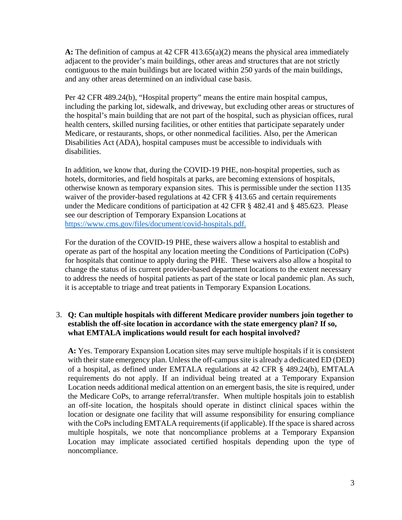**A:** The definition of campus at 42 CFR 413.65(a)(2) means the physical area immediately adjacent to the provider's main buildings, other areas and structures that are not strictly contiguous to the main buildings but are located within 250 yards of the main buildings, and any other areas determined on an individual case basis.

Per 42 CFR 489.24(b), "Hospital property" means the entire main hospital campus, including the parking lot, sidewalk, and driveway, but excluding other areas or structures of the hospital's main building that are not part of the hospital, such as physician offices, rural health centers, skilled nursing facilities, or other entities that participate separately under Medicare, or restaurants, shops, or other nonmedical facilities. Also, per the American Disabilities Act (ADA), hospital campuses must be accessible to individuals with disabilities.

In addition, we know that, during the COVID-19 PHE, non-hospital properties, such as hotels, dormitories, and field hospitals at parks, are becoming extensions of hospitals, otherwise known as temporary expansion sites. This is permissible under the section 1135 waiver of the provider-based regulations at 42 CFR § 413.65 and certain requirements under the Medicare conditions of participation at 42 CFR § 482.41 and § 485.623. Please see our description of Temporary Expansion Locations at [https://www.cms.gov/files/document/covid-hospitals.pdf.](https://www.cms.gov/files/document/covid-hospitals.pdf) 

For the duration of the COVID-19 PHE, these waivers allow a hospital to establish and operate as part of the hospital any location meeting the Conditions of Participation (CoPs) for hospitals that continue to apply during the PHE. These waivers also allow a hospital to change the status of its current provider-based department locations to the extent necessary to address the needs of hospital patients as part of the state or local pandemic plan. As such, it is acceptable to triage and treat patients in Temporary Expansion Locations.

## 3. **Q: Can multiple hospitals with different Medicare provider numbers join together to establish the off-site location in accordance with the state emergency plan? If so, what EMTALA implications would result for each hospital involved?**

**A:** Yes. Temporary Expansion Location sites may serve multiple hospitals if it is consistent with their state emergency plan. Unless the off-campus site is already a dedicated ED (DED) of a hospital, as defined under EMTALA regulations at 42 CFR § 489.24(b), EMTALA requirements do not apply. If an individual being treated at a Temporary Expansion Location needs additional medical attention on an emergent basis, the site is required, under the Medicare CoPs, to arrange referral/transfer. When multiple hospitals join to establish an off-site location, the hospitals should operate in distinct clinical spaces within the location or designate one facility that will assume responsibility for ensuring compliance with the CoPs including EMTALA requirements (if applicable). If the space is shared across multiple hospitals, we note that noncompliance problems at a Temporary Expansion Location may implicate associated certified hospitals depending upon the type of noncompliance.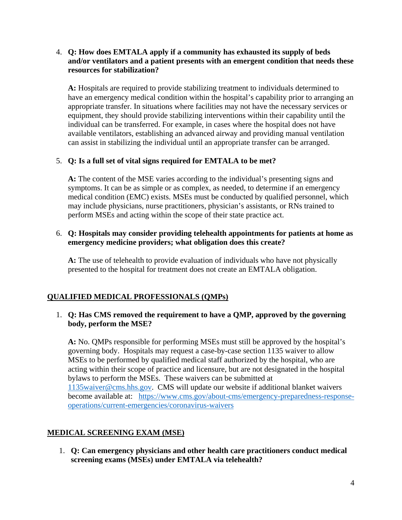## 4. **Q: How does EMTALA apply if a community has exhausted its supply of beds and/or ventilators and a patient presents with an emergent condition that needs these resources for stabilization?**

**A:** Hospitals are required to provide stabilizing treatment to individuals determined to have an emergency medical condition within the hospital's capability prior to arranging an appropriate transfer. In situations where facilities may not have the necessary services or equipment, they should provide stabilizing interventions within their capability until the individual can be transferred. For example, in cases where the hospital does not have available ventilators, establishing an advanced airway and providing manual ventilation can assist in stabilizing the individual until an appropriate transfer can be arranged.

## 5. **Q: Is a full set of vital signs required for EMTALA to be met?**

**A:** The content of the MSE varies according to the individual's presenting signs and symptoms. It can be as simple or as complex, as needed, to determine if an emergency medical condition (EMC) exists. MSEs must be conducted by qualified personnel, which may include physicians, nurse practitioners, physician's assistants, or RNs trained to perform MSEs and acting within the scope of their state practice act.

## 6. **Q: Hospitals may consider providing telehealth appointments for patients at home as emergency medicine providers; what obligation does this create?**

**A:** The use of telehealth to provide evaluation of individuals who have not physically presented to the hospital for treatment does not create an EMTALA obligation.

# **QUALIFIED MEDICAL PROFESSIONALS (QMPs)**

## 1. **Q: Has CMS removed the requirement to have a QMP, approved by the governing body, perform the MSE?**

**A:** No. QMPs responsible for performing MSEs must still be approved by the hospital's governing body. Hospitals may request a case-by-case section 1135 waiver to allow MSEs to be performed by qualified medical staff authorized by the hospital, who are acting within their scope of practice and licensure, but are not designated in the hospital bylaws to perform the MSEs. These waivers can be submitted at [1135waiver@cms.hhs.gov.](mailto:1135waiver@cms.hhs.gov) CMS will update our website if additional blanket waivers become available at: [https://www.cms.gov/about-cms/emergency-preparedness-response](https://www.cms.gov/about-cms/emergency-preparedness-response-operations/current-emergencies/coronavirus-waivers)[operations/current-emergencies/coronavirus-waivers](https://www.cms.gov/about-cms/emergency-preparedness-response-operations/current-emergencies/coronavirus-waivers)

# **MEDICAL SCREENING EXAM (MSE)**

1. **Q: Can emergency physicians and other health care practitioners conduct medical screening exams (MSEs) under EMTALA via telehealth?**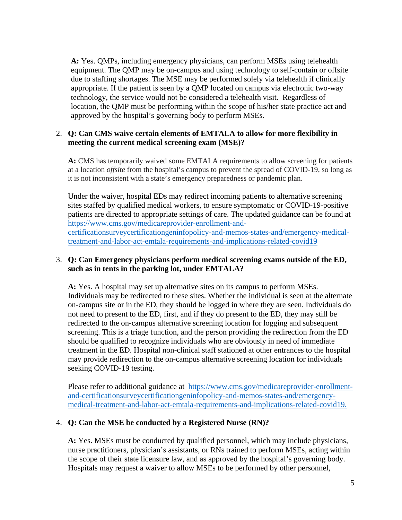**A:** Yes. QMPs, including emergency physicians, can perform MSEs using telehealth equipment. The QMP may be on-campus and using technology to self-contain or offsite due to staffing shortages. The MSE may be performed solely via telehealth if clinically appropriate. If the patient is seen by a QMP located on campus via electronic two-way technology, the service would not be considered a telehealth visit. Regardless of location, the QMP must be performing within the scope of his/her state practice act and approved by the hospital's governing body to perform MSEs.

## 2. **Q: Can CMS waive certain elements of EMTALA to allow for more flexibility in meeting the current medical screening exam (MSE)?**

**A:** CMS has temporarily waived some EMTALA requirements to allow screening for patients at a location *offsite* from the hospital's campus to prevent the spread of COVID-19, so long as it is not inconsistent with a state's emergency preparedness or pandemic plan.

Under the waiver, hospital EDs may redirect incoming patients to alternative screening sites staffed by qualified medical workers, to ensure symptomatic or COVID-19-positive patients are directed to appropriate settings of care. The updated guidance can be found at [https://www.cms.gov/medicareprovider-enrollment-and](https://www.cms.gov/medicareprovider-enrollment-and-certificationsurveycertificationgeninfopolicy-and-memos-states-and/emergency-medical-treatment-and-labor-act-emtala-requirements-and-implications-related-covid19)[certificationsurveycertificationgeninfopolicy-and-memos-states-and/emergency-medical](https://www.cms.gov/medicareprovider-enrollment-and-certificationsurveycertificationgeninfopolicy-and-memos-states-and/emergency-medical-treatment-and-labor-act-emtala-requirements-and-implications-related-covid19)[treatment-and-labor-act-emtala-requirements-and-implications-related-covid19](https://www.cms.gov/medicareprovider-enrollment-and-certificationsurveycertificationgeninfopolicy-and-memos-states-and/emergency-medical-treatment-and-labor-act-emtala-requirements-and-implications-related-covid19)

## 3. **Q: Can Emergency physicians perform medical screening exams outside of the ED, such as in tents in the parking lot, under EMTALA?**

**A:** Yes. A hospital may set up alternative sites on its campus to perform MSEs. Individuals may be redirected to these sites. Whether the individual is seen at the alternate on-campus site or in the ED, they should be logged in where they are seen. Individuals do not need to present to the ED, first, and if they do present to the ED, they may still be redirected to the on-campus alternative screening location for logging and subsequent screening. This is a triage function, and the person providing the redirection from the ED should be qualified to recognize individuals who are obviously in need of immediate treatment in the ED. Hospital non-clinical staff stationed at other entrances to the hospital may provide redirection to the on-campus alternative screening location for individuals seeking COVID-19 testing.

Please refer to additional guidance at [https://www.cms.gov/medicareprovider-enrollment](https://www.cms.gov/medicareprovider-enrollment-and-certificationsurveycertificationgeninfopolicy-and-memos-states-and/emergency-medical-treatment-and-labor-act-emtala-requirements-and-implications-related-covid19)[and-certificationsurveycertificationgeninfopolicy-and-memos-states-and/emergency](https://www.cms.gov/medicareprovider-enrollment-and-certificationsurveycertificationgeninfopolicy-and-memos-states-and/emergency-medical-treatment-and-labor-act-emtala-requirements-and-implications-related-covid19)[medical-treatment-and-labor-act-emtala-requirements-and-implications-related-covid19.](https://www.cms.gov/medicareprovider-enrollment-and-certificationsurveycertificationgeninfopolicy-and-memos-states-and/emergency-medical-treatment-and-labor-act-emtala-requirements-and-implications-related-covid19)

## 4. **Q: Can the MSE be conducted by a Registered Nurse (RN)?**

**A:** Yes. MSEs must be conducted by qualified personnel, which may include physicians, nurse practitioners, physician's assistants, or RNs trained to perform MSEs, acting within the scope of their state licensure law, and as approved by the hospital's governing body. Hospitals may request a waiver to allow MSEs to be performed by other personnel,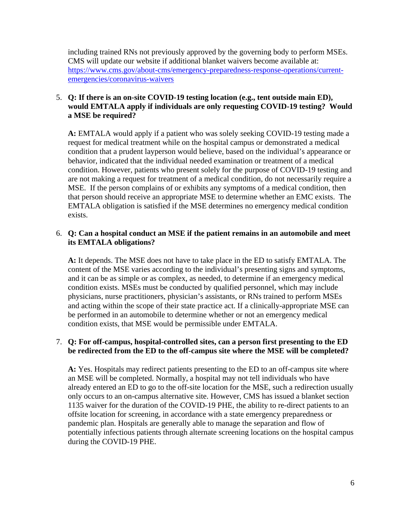including trained RNs not previously approved by the governing body to perform MSEs. CMS will update our website if additional blanket waivers become available at: [https://www.cms.gov/about-cms/emergency-preparedness-response-operations/current](https://www.cms.gov/about-cms/emergency-preparedness-response-operations/current-emergencies/coronavirus-waivers)[emergencies/coronavirus-waivers](https://www.cms.gov/about-cms/emergency-preparedness-response-operations/current-emergencies/coronavirus-waivers) 

## 5. **Q: If there is an on-site COVID-19 testing location (e.g., tent outside main ED), would EMTALA apply if individuals are only requesting COVID-19 testing? Would a MSE be required?**

**A:** EMTALA would apply if a patient who was solely seeking COVID-19 testing made a request for medical treatment while on the hospital campus or demonstrated a medical condition that a prudent layperson would believe, based on the individual's appearance or behavior, indicated that the individual needed examination or treatment of a medical condition. However, patients who present solely for the purpose of COVID-19 testing and are not making a request for treatment of a medical condition, do not necessarily require a MSE. If the person complains of or exhibits any symptoms of a medical condition, then that person should receive an appropriate MSE to determine whether an EMC exists. The EMTALA obligation is satisfied if the MSE determines no emergency medical condition exists.

## 6. **Q: Can a hospital conduct an MSE if the patient remains in an automobile and meet its EMTALA obligations?**

**A:** It depends. The MSE does not have to take place in the ED to satisfy EMTALA. The content of the MSE varies according to the individual's presenting signs and symptoms, and it can be as simple or as complex, as needed, to determine if an emergency medical condition exists. MSEs must be conducted by qualified personnel, which may include physicians, nurse practitioners, physician's assistants, or RNs trained to perform MSEs and acting within the scope of their state practice act. If a clinically-appropriate MSE can be performed in an automobile to determine whether or not an emergency medical condition exists, that MSE would be permissible under EMTALA.

## 7. **Q: For off-campus, hospital-controlled sites, can a person first presenting to the ED be redirected from the ED to the off-campus site where the MSE will be completed?**

**A:** Yes. Hospitals may redirect patients presenting to the ED to an off-campus site where an MSE will be completed. Normally, a hospital may not tell individuals who have already entered an ED to go to the off-site location for the MSE, such a redirection usually only occurs to an on-campus alternative site. However, CMS has issued a blanket section 1135 waiver for the duration of the COVID-19 PHE, the ability to re-direct patients to an offsite location for screening, in accordance with a state emergency preparedness or pandemic plan. Hospitals are generally able to manage the separation and flow of potentially infectious patients through alternate screening locations on the hospital campus during the COVID-19 PHE.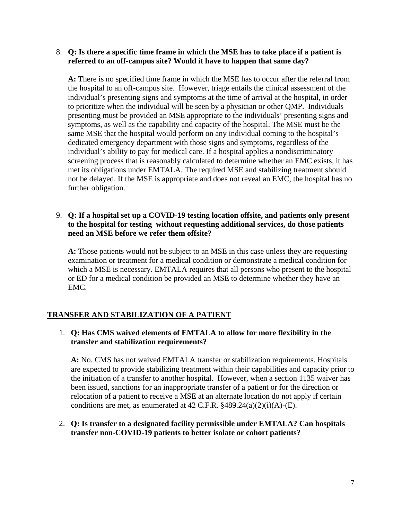#### 8. **Q: Is there a specific time frame in which the MSE has to take place if a patient is referred to an off-campus site? Would it have to happen that same day?**

**A:** There is no specified time frame in which the MSE has to occur after the referral from the hospital to an off-campus site. However, triage entails the clinical assessment of the individual's presenting signs and symptoms at the time of arrival at the hospital, in order to prioritize when the individual will be seen by a physician or other QMP. Individuals presenting must be provided an MSE appropriate to the individuals' presenting signs and symptoms, as well as the capability and capacity of the hospital. The MSE must be the same MSE that the hospital would perform on any individual coming to the hospital's dedicated emergency department with those signs and symptoms, regardless of the individual's ability to pay for medical care. If a hospital applies a nondiscriminatory screening process that is reasonably calculated to determine whether an EMC exists, it has met its obligations under EMTALA. The required MSE and stabilizing treatment should not be delayed. If the MSE is appropriate and does not reveal an EMC, the hospital has no further obligation.

## 9. **Q: If a hospital set up a COVID-19 testing location offsite, and patients only present to the hospital for testing without requesting additional services, do those patients need an MSE before we refer them offsite?**

**A:** Those patients would not be subject to an MSE in this case unless they are requesting examination or treatment for a medical condition or demonstrate a medical condition for which a MSE is necessary. EMTALA requires that all persons who present to the hospital or ED for a medical condition be provided an MSE to determine whether they have an EMC.

# **TRANSFER AND STABILIZATION OF A PATIENT**

## 1. **Q: Has CMS waived elements of EMTALA to allow for more flexibility in the transfer and stabilization requirements?**

**A:** No. CMS has not waived EMTALA transfer or stabilization requirements. Hospitals are expected to provide stabilizing treatment within their capabilities and capacity prior to the initiation of a transfer to another hospital. However, when a section 1135 waiver has been issued, sanctions for an inappropriate transfer of a patient or for the direction or relocation of a patient to receive a MSE at an alternate location do not apply if certain conditions are met, as enumerated at  $42$  C.F.R.  $$489.24(a)(2)(i)(A)$ -(E).

## 2. **Q: Is transfer to a designated facility permissible under EMTALA? Can hospitals transfer non-COVID-19 patients to better isolate or cohort patients?**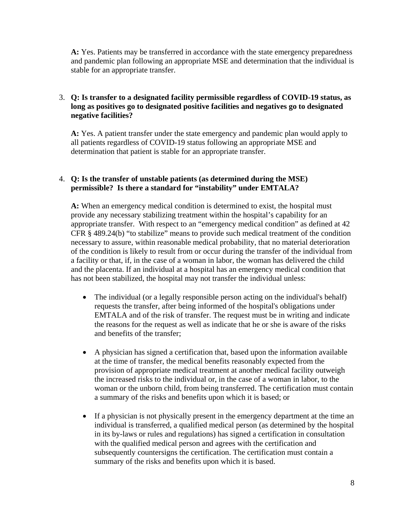**A:** Yes. Patients may be transferred in accordance with the state emergency preparedness and pandemic plan following an appropriate MSE and determination that the individual is stable for an appropriate transfer.

## 3. **Q: Is transfer to a designated facility permissible regardless of COVID-19 status, as long as positives go to designated positive facilities and negatives go to designated negative facilities?**

**A:** Yes. A patient transfer under the state emergency and pandemic plan would apply to all patients regardless of COVID-19 status following an appropriate MSE and determination that patient is stable for an appropriate transfer.

## 4. **Q: Is the transfer of unstable patients (as determined during the MSE) permissible? Is there a standard for "instability" under EMTALA?**

**A:** When an emergency medical condition is determined to exist, the hospital must provide any necessary stabilizing treatment within the hospital's capability for an appropriate transfer. With respect to an "emergency medical condition" as defined at 42 CFR § 489.24(b) "to stabilize" means to provide such medical treatment of the condition necessary to assure, within reasonable medical probability, that no material deterioration of the condition is likely to result from or occur during the transfer of the individual from a facility or that, if, in the case of a woman in labor, the woman has delivered the child and the placenta. If an individual at a hospital has an emergency medical condition that has not been stabilized, the hospital may not transfer the individual unless:

- The individual (or a legally responsible person acting on the individual's behalf) requests the transfer, after being informed of the hospital's obligations under EMTALA and of the risk of transfer. The request must be in writing and indicate the reasons for the request as well as indicate that he or she is aware of the risks and benefits of the transfer;
- A physician has signed a certification that, based upon the information available at the time of transfer, the medical benefits reasonably expected from the provision of appropriate medical treatment at another medical facility outweigh the increased risks to the individual or, in the case of a woman in labor, to the woman or the unborn child, from being transferred. The certification must contain a summary of the risks and benefits upon which it is based; or
- If a physician is not physically present in the emergency department at the time an individual is transferred, a qualified medical person (as determined by the hospital in its by-laws or rules and regulations) has signed a certification in consultation with the qualified medical person and agrees with the certification and subsequently countersigns the certification. The certification must contain a summary of the risks and benefits upon which it is based.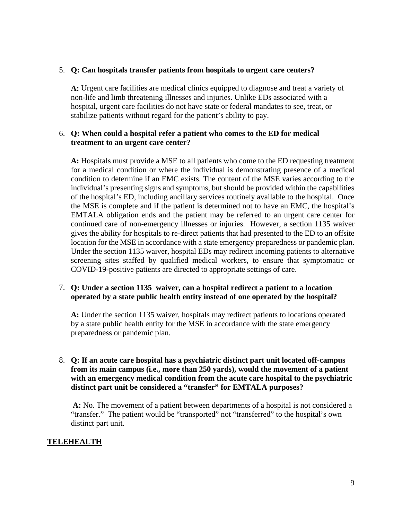#### 5. **Q: Can hospitals transfer patients from hospitals to urgent care centers?**

**A:** Urgent care facilities are medical clinics equipped to diagnose and treat a variety of non-life and limb threatening illnesses and injuries. Unlike EDs associated with a hospital, urgent care facilities do not have state or federal mandates to see, treat, or stabilize patients without regard for the patient's ability to pay.

## 6. **Q: When could a hospital refer a patient who comes to the ED for medical treatment to an urgent care center?**

**A:** Hospitals must provide a MSE to all patients who come to the ED requesting treatment for a medical condition or where the individual is demonstrating presence of a medical condition to determine if an EMC exists. The content of the MSE varies according to the individual's presenting signs and symptoms, but should be provided within the capabilities of the hospital's ED, including ancillary services routinely available to the hospital. Once the MSE is complete and if the patient is determined not to have an EMC, the hospital's EMTALA obligation ends and the patient may be referred to an urgent care center for continued care of non-emergency illnesses or injuries. However, a section 1135 waiver gives the ability for hospitals to re-direct patients that had presented to the ED to an offsite location for the MSE in accordance with a state emergency preparedness or pandemic plan. Under the section 1135 waiver, hospital EDs may redirect incoming patients to alternative screening sites staffed by qualified medical workers, to ensure that symptomatic or COVID-19-positive patients are directed to appropriate settings of care.

## 7. **Q: Under a section 1135 waiver, can a hospital redirect a patient to a location operated by a state public health entity instead of one operated by the hospital?**

**A:** Under the section 1135 waiver, hospitals may redirect patients to locations operated by a state public health entity for the MSE in accordance with the state emergency preparedness or pandemic plan.

## 8. **Q: If an acute care hospital has a psychiatric distinct part unit located off-campus from its main campus (i.e., more than 250 yards), would the movement of a patient with an emergency medical condition from the acute care hospital to the psychiatric distinct part unit be considered a "transfer" for EMTALA purposes?**

**A:** No. The movement of a patient between departments of a hospital is not considered a "transfer." The patient would be "transported" not "transferred" to the hospital's own distinct part unit.

## **TELEHEALTH**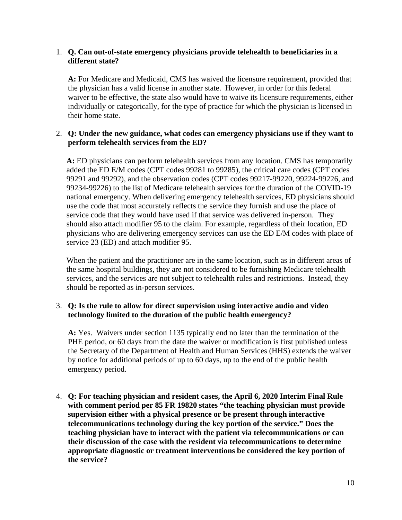## 1. **Q. Can out-of-state emergency physicians provide telehealth to beneficiaries in a different state?**

**A:** For Medicare and Medicaid, CMS has waived the licensure requirement, provided that the physician has a valid license in another state. However, in order for this federal waiver to be effective, the state also would have to waive its licensure requirements, either individually or categorically, for the type of practice for which the physician is licensed in their home state.

## 2. **Q: Under the new guidance, what codes can emergency physicians use if they want to perform telehealth services from the ED?**

**A:** ED physicians can perform telehealth services from any location. CMS has temporarily added the ED E/M codes (CPT codes 99281 to 99285), the critical care codes (CPT codes 99291 and 99292), and the observation codes (CPT codes 99217-99220, 99224-99226, and 99234-99226) to the list of Medicare telehealth services for the duration of the COVID-19 national emergency. When delivering emergency telehealth services, ED physicians should use the code that most accurately reflects the service they furnish and use the place of service code that they would have used if that service was delivered in-person. They should also attach modifier 95 to the claim. For example, regardless of their location, ED physicians who are delivering emergency services can use the ED E/M codes with place of service 23 (ED) and attach modifier 95.

When the patient and the practitioner are in the same location, such as in different areas of the same hospital buildings, they are not considered to be furnishing Medicare telehealth services, and the services are not subject to telehealth rules and restrictions. Instead, they should be reported as in-person services.

## 3. **Q: Is the rule to allow for direct supervision using interactive audio and video technology limited to the duration of the public health emergency?**

**A:** Yes. Waivers under section 1135 typically end no later than the termination of the PHE period, or 60 days from the date the waiver or modification is first published unless the Secretary of the Department of Health and Human Services (HHS) extends the waiver by notice for additional periods of up to 60 days, up to the end of the public health emergency period.

4. **Q: For teaching physician and resident cases, the April 6, 2020 Interim Final Rule with comment period per 85 FR 19820 states "the teaching physician must provide supervision either with a physical presence or be present through interactive telecommunications technology during the key portion of the service." Does the teaching physician have to interact with the patient via telecommunications or can their discussion of the case with the resident via telecommunications to determine appropriate diagnostic or treatment interventions be considered the key portion of the service?**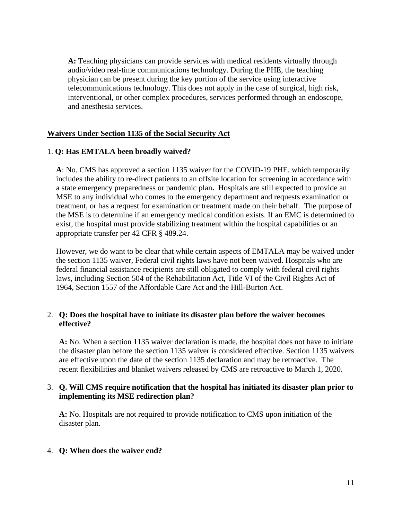**A:** Teaching physicians can provide services with medical residents virtually through audio/video real-time communications technology. During the PHE, the teaching physician can be present during the key portion of the service using interactive telecommunications technology. This does not apply in the case of surgical, high risk, interventional, or other complex procedures, services performed through an endoscope, and anesthesia services.

## **Waivers Under Section 1135 of the Social Security Act**

## 1. **Q: Has EMTALA been broadly waived?**

**A**: No. CMS has approved a section 1135 waiver for the COVID-19 PHE, which temporarily includes the ability to re-direct patients to an offsite location for screening in accordance with a state emergency preparedness or pandemic plan**.** Hospitals are still expected to provide an MSE to any individual who comes to the emergency department and requests examination or treatment, or has a request for examination or treatment made on their behalf. The purpose of the MSE is to determine if an emergency medical condition exists. If an EMC is determined to exist, the hospital must provide stabilizing treatment within the hospital capabilities or an appropriate transfer per 42 CFR § 489.24.

However, we do want to be clear that while certain aspects of EMTALA may be waived under the section 1135 waiver, Federal civil rights laws have not been waived. Hospitals who are federal financial assistance recipients are still obligated to comply with federal civil rights laws, including Section 504 of the Rehabilitation Act, Title VI of the Civil Rights Act of 1964, Section 1557 of the Affordable Care Act and the Hill-Burton Act.

## 2. **Q: Does the hospital have to initiate its disaster plan before the waiver becomes effective?**

**A:** No. When a section 1135 waiver declaration is made, the hospital does not have to initiate the disaster plan before the section 1135 waiver is considered effective. Section 1135 waivers are effective upon the date of the section 1135 declaration and may be retroactive. The recent flexibilities and blanket waivers released by CMS are retroactive to March 1, 2020.

#### 3. **Q. Will CMS require notification that the hospital has initiated its disaster plan prior to implementing its MSE redirection plan?**

**A:** No. Hospitals are not required to provide notification to CMS upon initiation of the disaster plan.

#### 4. **Q: When does the waiver end?**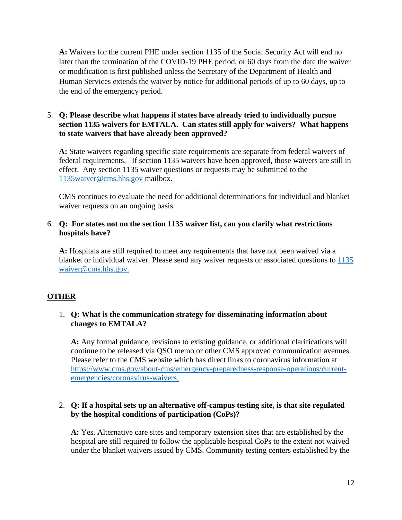**A:** Waivers for the current PHE under section 1135 of the Social Security Act will end no later than the termination of the COVID-19 PHE period, or 60 days from the date the waiver or modification is first published unless the Secretary of the Department of Health and Human Services extends the waiver by notice for additional periods of up to 60 days, up to the end of the emergency period.

## 5. **Q: Please describe what happens if states have already tried to individually pursue section 1135 waivers for EMTALA. Can states still apply for waivers? What happens to state waivers that have already been approved?**

**A:** State waivers regarding specific state requirements are separate from federal waivers of federal requirements. If section 1135 waivers have been approved, those waivers are still in effect. Any section 1135 waiver questions or requests may be submitted to the [1135waiver@cms.hhs.gov](mailto:1135waiver@cms.hhs.gov) mailbox.

CMS continues to evaluate the need for additional determinations for individual and blanket waiver requests on an ongoing basis.

## 6. **Q: For states not on the section 1135 waiver list, can you clarify what restrictions hospitals have?**

**A:** Hospitals are still required to meet any requirements that have not been waived via a blanket or individual waiver. Please send any waiver requests or associated questions to [1135](mailto:1135%20waiver@cms.hhs.gov)  [waiver@cms.hhs.gov.](mailto:1135%20waiver@cms.hhs.gov)

# **OTHER**

## 1. **Q: What is the communication strategy for disseminating information about changes to EMTALA?**

**A:** Any formal guidance, revisions to existing guidance, or additional clarifications will continue to be released via QSO memo or other CMS approved communication avenues. Please refer to the CMS website which has direct links to coronavirus information at [https://www.cms.gov/about-cms/emergency-preparedness-response-operations/current](https://www.cms.gov/about-cms/emergency-preparedness-response-operations/current-emergencies/coronavirus-waivers)[emergencies/coronavirus-waivers.](https://www.cms.gov/about-cms/emergency-preparedness-response-operations/current-emergencies/coronavirus-waivers)

## 2. **Q: If a hospital sets up an alternative off-campus testing site, is that site regulated by the hospital conditions of participation (CoPs)?**

**A:** Yes. Alternative care sites and temporary extension sites that are established by the hospital are still required to follow the applicable hospital CoPs to the extent not waived under the blanket waivers issued by CMS. Community testing centers established by the